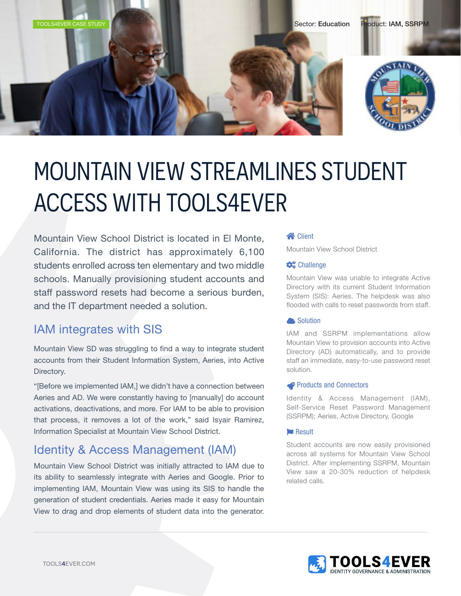

# MOUNTAIN VIEW STREAMLINES STUDENT ACCESS WITH TOOLS4EVER

Mountain View School District is located in El Monte, California. The district has approximately 6,100 students enrolled across ten elementary and two middle schools. Manually provisioning student accounts and staff password resets had become a serious burden, and the IT department needed a solution.

# IAM integrates with SIS

Mountain View SD was struggling to find a way to integrate student accounts from their Student Information System, Aeries, into Active Directory.

"[Before we implemented IAM,] we didn't have a connection between Aeries and AD. We were constantly having to [manually] do account activations, deactivations, and more. For IAM to be able to provision that process, it removes a lot of the work," said Isyair Ramirez, Information Specialist at Mountain View School District.

### Identity & Access Management (IAM)

Mountain View School District was initially attracted to IAM due to its ability to seamlessly integrate with Aeries and Google. Prior to implementing IAM, Mountain View was using its SIS to handle the generation of student credentials. Aeries made it easy for Mountain View to drag and drop elements of student data into the generator.

#### **S** Client

Mountain View School District

#### **Challenge**

Mountain View was unable to integrate Active Directory with its current Student Information System (SIS): Aeries. The helpdesk was also flooded with calls to reset passwords from staff.

#### **A** Solution

IAM and SSRPM implementations allow Mountain View to provision accounts into Active Directory (AD) automatically, and to provide staff an immediate, easy-to-use password reset solution.

#### **Products and Connectors**

Identity & Access Management (IAM), Self-Service Reset Password Management (SSRPM); Aeries, Active Directory, Google

#### **Result**

Student accounts are now easily provisioned across all systems for Mountain View School District. After implementing SSRPM, Mountain View saw a 20-30% reduction of helpdesk related calls.